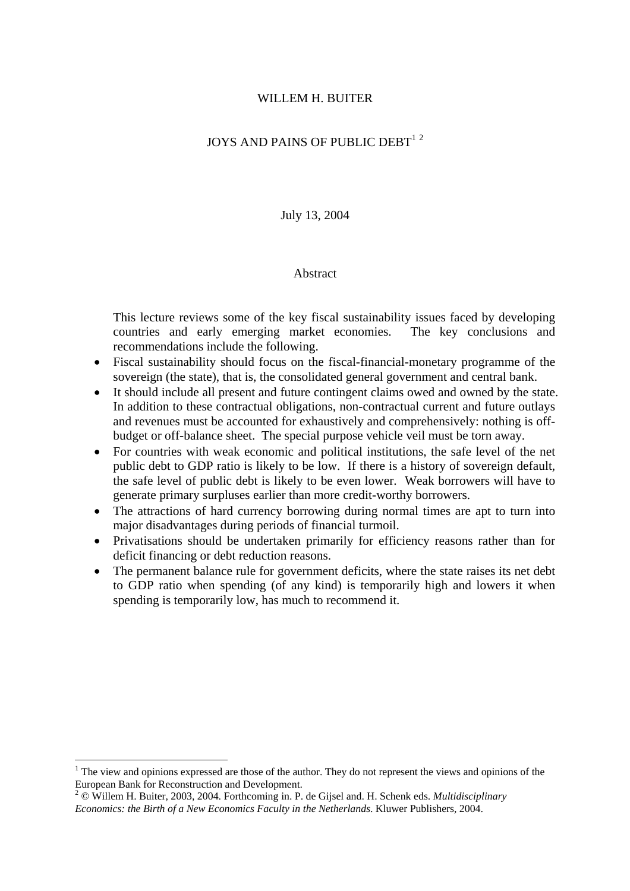## WILLEM H. BUITER

# JOYS AND PAINS OF PUBLIC DEBT $12$  $12$

## July 13, 2004

#### Abstract

This lecture reviews some of the key fiscal sustainability issues faced by developing countries and early emerging market economies. The key conclusions and recommendations include the following.

- Fiscal sustainability should focus on the fiscal-financial-monetary programme of the sovereign (the state), that is, the consolidated general government and central bank.
- It should include all present and future contingent claims owed and owned by the state. In addition to these contractual obligations, non-contractual current and future outlays and revenues must be accounted for exhaustively and comprehensively: nothing is offbudget or off-balance sheet. The special purpose vehicle veil must be torn away.
- For countries with weak economic and political institutions, the safe level of the net public debt to GDP ratio is likely to be low. If there is a history of sovereign default, the safe level of public debt is likely to be even lower. Weak borrowers will have to generate primary surpluses earlier than more credit-worthy borrowers.
- The attractions of hard currency borrowing during normal times are apt to turn into major disadvantages during periods of financial turmoil.
- Privatisations should be undertaken primarily for efficiency reasons rather than for deficit financing or debt reduction reasons.
- The permanent balance rule for government deficits, where the state raises its net debt to GDP ratio when spending (of any kind) is temporarily high and lowers it when spending is temporarily low, has much to recommend it.

 $\overline{a}$ 

<span id="page-0-0"></span> $<sup>1</sup>$  The view and opinions expressed are those of the author. They do not represent the views and opinions of the</sup> European Bank for Reconstruction and Development.

<span id="page-0-1"></span><sup>2</sup> © Willem H. Buiter, 2003, 2004. Forthcoming in. P. de Gijsel and. H. Schenk eds. *Multidisciplinary Economics: the Birth of a New Economics Faculty in the Netherlands*. Kluwer Publishers, 2004.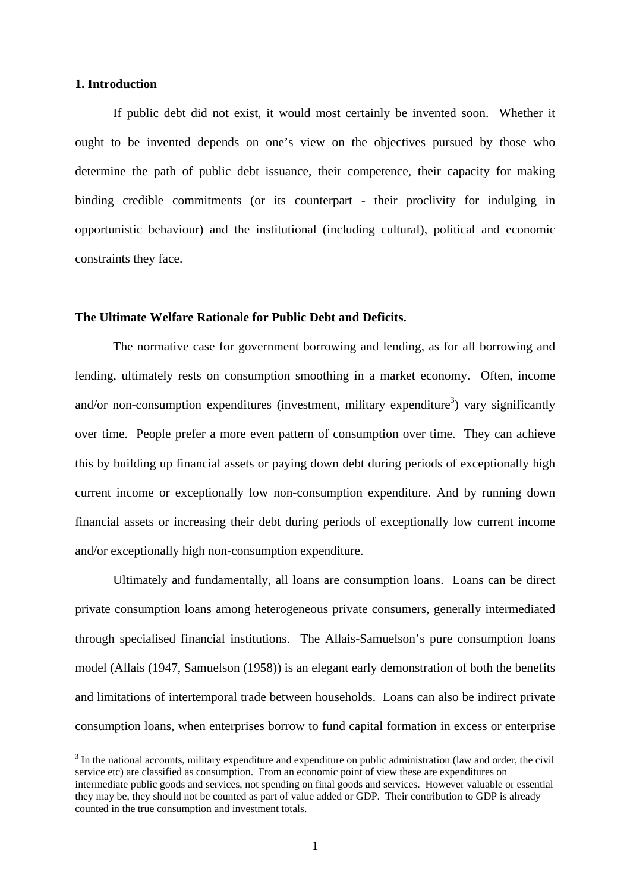## **1. Introduction**

 $\overline{a}$ 

If public debt did not exist, it would most certainly be invented soon. Whether it ought to be invented depends on one's view on the objectives pursued by those who determine the path of public debt issuance, their competence, their capacity for making binding credible commitments (or its counterpart - their proclivity for indulging in opportunistic behaviour) and the institutional (including cultural), political and economic constraints they face.

#### **The Ultimate Welfare Rationale for Public Debt and Deficits.**

The normative case for government borrowing and lending, as for all borrowing and lending, ultimately rests on consumption smoothing in a market economy. Often, income and/or non-consumption expenditures (investment, military expenditure<sup>3</sup>[\)](#page-1-0) vary significantly over time. People prefer a more even pattern of consumption over time. They can achieve this by building up financial assets or paying down debt during periods of exceptionally high current income or exceptionally low non-consumption expenditure. And by running down financial assets or increasing their debt during periods of exceptionally low current income and/or exceptionally high non-consumption expenditure.

Ultimately and fundamentally, all loans are consumption loans. Loans can be direct private consumption loans among heterogeneous private consumers, generally intermediated through specialised financial institutions. The Allais-Samuelson's pure consumption loans model (Allais (1947, Samuelson (1958)) is an elegant early demonstration of both the benefits and limitations of intertemporal trade between households. Loans can also be indirect private consumption loans, when enterprises borrow to fund capital formation in excess or enterprise

<span id="page-1-0"></span> $3$  In the national accounts, military expenditure and expenditure on public administration (law and order, the civil service etc) are classified as consumption. From an economic point of view these are expenditures on intermediate public goods and services, not spending on final goods and services. However valuable or essential they may be, they should not be counted as part of value added or GDP. Their contribution to GDP is already counted in the true consumption and investment totals.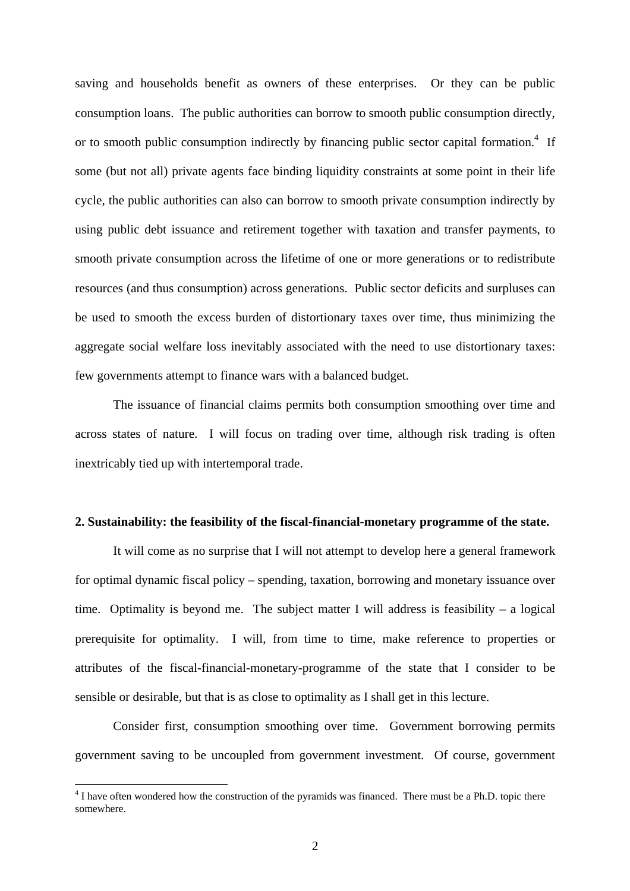saving and households benefit as owners of these enterprises. Or they can be public consumption loans. The public authorities can borrow to smooth public consumption directly, orto smooth public consumption indirectly by financing public sector capital formation.<sup>4</sup> If some (but not all) private agents face binding liquidity constraints at some point in their life cycle, the public authorities can also can borrow to smooth private consumption indirectly by using public debt issuance and retirement together with taxation and transfer payments, to smooth private consumption across the lifetime of one or more generations or to redistribute resources (and thus consumption) across generations. Public sector deficits and surpluses can be used to smooth the excess burden of distortionary taxes over time, thus minimizing the aggregate social welfare loss inevitably associated with the need to use distortionary taxes: few governments attempt to finance wars with a balanced budget.

The issuance of financial claims permits both consumption smoothing over time and across states of nature. I will focus on trading over time, although risk trading is often inextricably tied up with intertemporal trade.

#### **2. Sustainability: the feasibility of the fiscal-financial-monetary programme of the state.**

It will come as no surprise that I will not attempt to develop here a general framework for optimal dynamic fiscal policy – spending, taxation, borrowing and monetary issuance over time. Optimality is beyond me. The subject matter I will address is feasibility – a logical prerequisite for optimality. I will, from time to time, make reference to properties or attributes of the fiscal-financial-monetary-programme of the state that I consider to be sensible or desirable, but that is as close to optimality as I shall get in this lecture.

Consider first, consumption smoothing over time. Government borrowing permits government saving to be uncoupled from government investment. Of course, government

 $\overline{a}$ 

<span id="page-2-0"></span> $4$  I have often wondered how the construction of the pyramids was financed. There must be a Ph.D. topic there somewhere.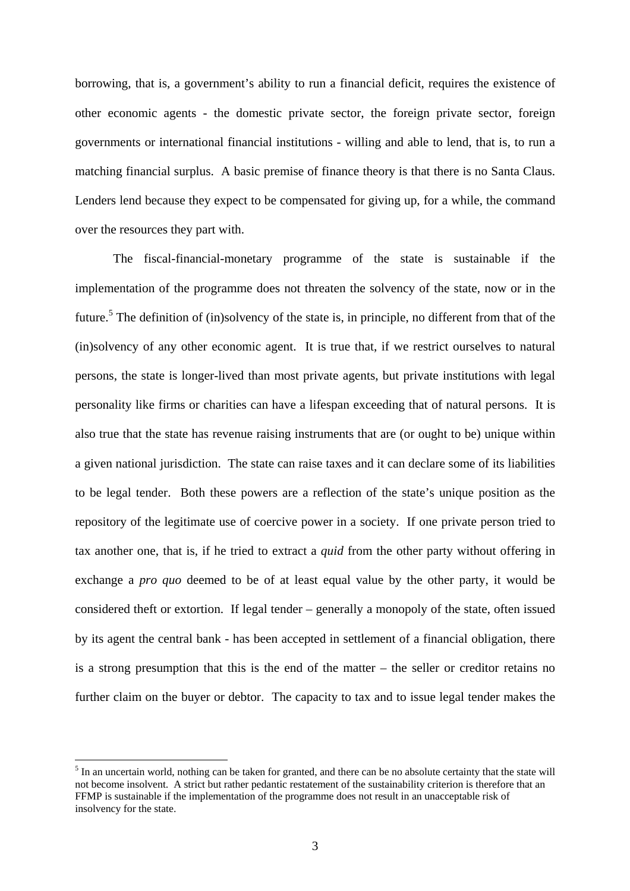borrowing, that is, a government's ability to run a financial deficit, requires the existence of other economic agents - the domestic private sector, the foreign private sector, foreign governments or international financial institutions - willing and able to lend, that is, to run a matching financial surplus. A basic premise of finance theory is that there is no Santa Claus. Lenders lend because they expect to be compensated for giving up, for a while, the command over the resources they part with.

The fiscal-financial-monetary programme of the state is sustainable if the implementation of the programme does not threaten the solvency of the state, now or in the future.<sup>[5](#page-3-0)</sup> The definition of (in)solvency of the state is, in principle, no different from that of the (in)solvency of any other economic agent. It is true that, if we restrict ourselves to natural persons, the state is longer-lived than most private agents, but private institutions with legal personality like firms or charities can have a lifespan exceeding that of natural persons. It is also true that the state has revenue raising instruments that are (or ought to be) unique within a given national jurisdiction. The state can raise taxes and it can declare some of its liabilities to be legal tender. Both these powers are a reflection of the state's unique position as the repository of the legitimate use of coercive power in a society. If one private person tried to tax another one, that is, if he tried to extract a *quid* from the other party without offering in exchange a *pro quo* deemed to be of at least equal value by the other party, it would be considered theft or extortion. If legal tender – generally a monopoly of the state, often issued by its agent the central bank - has been accepted in settlement of a financial obligation, there is a strong presumption that this is the end of the matter – the seller or creditor retains no further claim on the buyer or debtor. The capacity to tax and to issue legal tender makes the

 $\overline{a}$ 

<span id="page-3-0"></span><sup>&</sup>lt;sup>5</sup> In an uncertain world, nothing can be taken for granted, and there can be no absolute certainty that the state will not become insolvent. A strict but rather pedantic restatement of the sustainability criterion is therefore that an FFMP is sustainable if the implementation of the programme does not result in an unacceptable risk of insolvency for the state.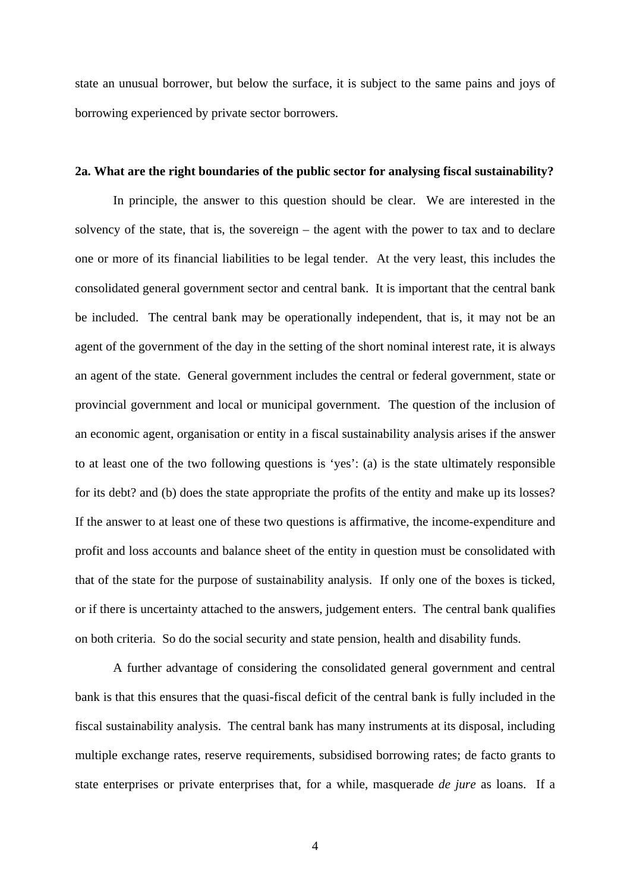state an unusual borrower, but below the surface, it is subject to the same pains and joys of borrowing experienced by private sector borrowers.

#### **2a. What are the right boundaries of the public sector for analysing fiscal sustainability?**

In principle, the answer to this question should be clear. We are interested in the solvency of the state, that is, the sovereign – the agent with the power to tax and to declare one or more of its financial liabilities to be legal tender. At the very least, this includes the consolidated general government sector and central bank. It is important that the central bank be included. The central bank may be operationally independent, that is, it may not be an agent of the government of the day in the setting of the short nominal interest rate, it is always an agent of the state. General government includes the central or federal government, state or provincial government and local or municipal government. The question of the inclusion of an economic agent, organisation or entity in a fiscal sustainability analysis arises if the answer to at least one of the two following questions is 'yes': (a) is the state ultimately responsible for its debt? and (b) does the state appropriate the profits of the entity and make up its losses? If the answer to at least one of these two questions is affirmative, the income-expenditure and profit and loss accounts and balance sheet of the entity in question must be consolidated with that of the state for the purpose of sustainability analysis. If only one of the boxes is ticked, or if there is uncertainty attached to the answers, judgement enters. The central bank qualifies on both criteria. So do the social security and state pension, health and disability funds.

A further advantage of considering the consolidated general government and central bank is that this ensures that the quasi-fiscal deficit of the central bank is fully included in the fiscal sustainability analysis. The central bank has many instruments at its disposal, including multiple exchange rates, reserve requirements, subsidised borrowing rates; de facto grants to state enterprises or private enterprises that, for a while, masquerade *de jure* as loans. If a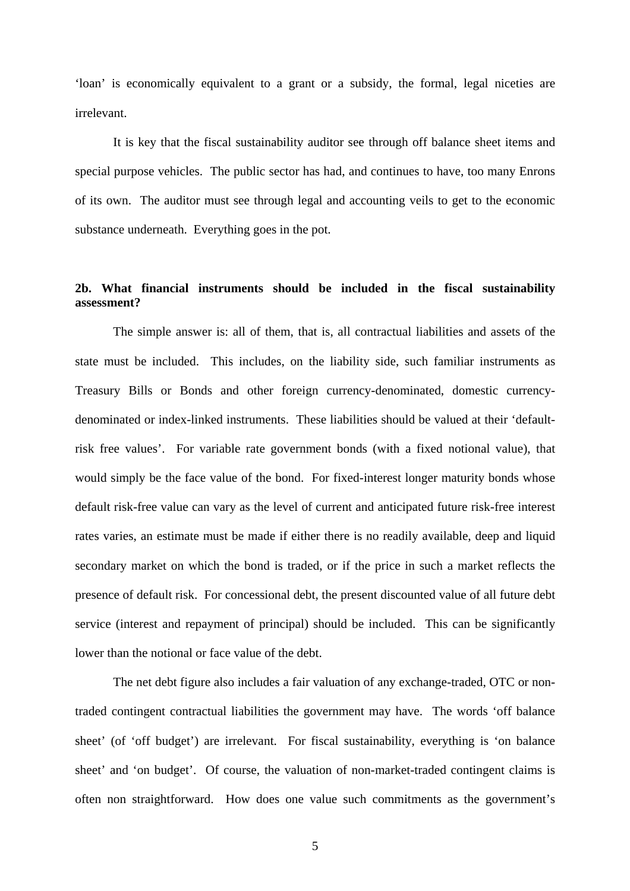'loan' is economically equivalent to a grant or a subsidy, the formal, legal niceties are irrelevant.

It is key that the fiscal sustainability auditor see through off balance sheet items and special purpose vehicles. The public sector has had, and continues to have, too many Enrons of its own. The auditor must see through legal and accounting veils to get to the economic substance underneath. Everything goes in the pot.

## **2b. What financial instruments should be included in the fiscal sustainability assessment?**

The simple answer is: all of them, that is, all contractual liabilities and assets of the state must be included. This includes, on the liability side, such familiar instruments as Treasury Bills or Bonds and other foreign currency-denominated, domestic currencydenominated or index-linked instruments. These liabilities should be valued at their 'defaultrisk free values'. For variable rate government bonds (with a fixed notional value), that would simply be the face value of the bond. For fixed-interest longer maturity bonds whose default risk-free value can vary as the level of current and anticipated future risk-free interest rates varies, an estimate must be made if either there is no readily available, deep and liquid secondary market on which the bond is traded, or if the price in such a market reflects the presence of default risk. For concessional debt, the present discounted value of all future debt service (interest and repayment of principal) should be included. This can be significantly lower than the notional or face value of the debt.

The net debt figure also includes a fair valuation of any exchange-traded, OTC or nontraded contingent contractual liabilities the government may have. The words 'off balance sheet' (of 'off budget') are irrelevant. For fiscal sustainability, everything is 'on balance sheet' and 'on budget'. Of course, the valuation of non-market-traded contingent claims is often non straightforward. How does one value such commitments as the government's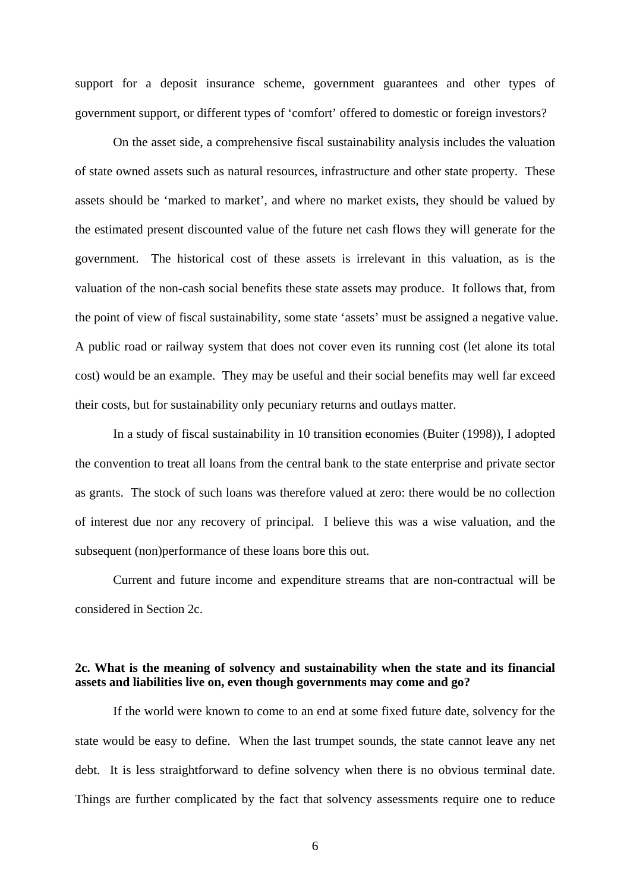support for a deposit insurance scheme, government guarantees and other types of government support, or different types of 'comfort' offered to domestic or foreign investors?

On the asset side, a comprehensive fiscal sustainability analysis includes the valuation of state owned assets such as natural resources, infrastructure and other state property. These assets should be 'marked to market', and where no market exists, they should be valued by the estimated present discounted value of the future net cash flows they will generate for the government. The historical cost of these assets is irrelevant in this valuation, as is the valuation of the non-cash social benefits these state assets may produce. It follows that, from the point of view of fiscal sustainability, some state 'assets' must be assigned a negative value. A public road or railway system that does not cover even its running cost (let alone its total cost) would be an example. They may be useful and their social benefits may well far exceed their costs, but for sustainability only pecuniary returns and outlays matter.

In a study of fiscal sustainability in 10 transition economies (Buiter (1998)), I adopted the convention to treat all loans from the central bank to the state enterprise and private sector as grants. The stock of such loans was therefore valued at zero: there would be no collection of interest due nor any recovery of principal. I believe this was a wise valuation, and the subsequent (non)performance of these loans bore this out.

Current and future income and expenditure streams that are non-contractual will be considered in Section 2c.

## **2c. What is the meaning of solvency and sustainability when the state and its financial assets and liabilities live on, even though governments may come and go?**

If the world were known to come to an end at some fixed future date, solvency for the state would be easy to define. When the last trumpet sounds, the state cannot leave any net debt. It is less straightforward to define solvency when there is no obvious terminal date. Things are further complicated by the fact that solvency assessments require one to reduce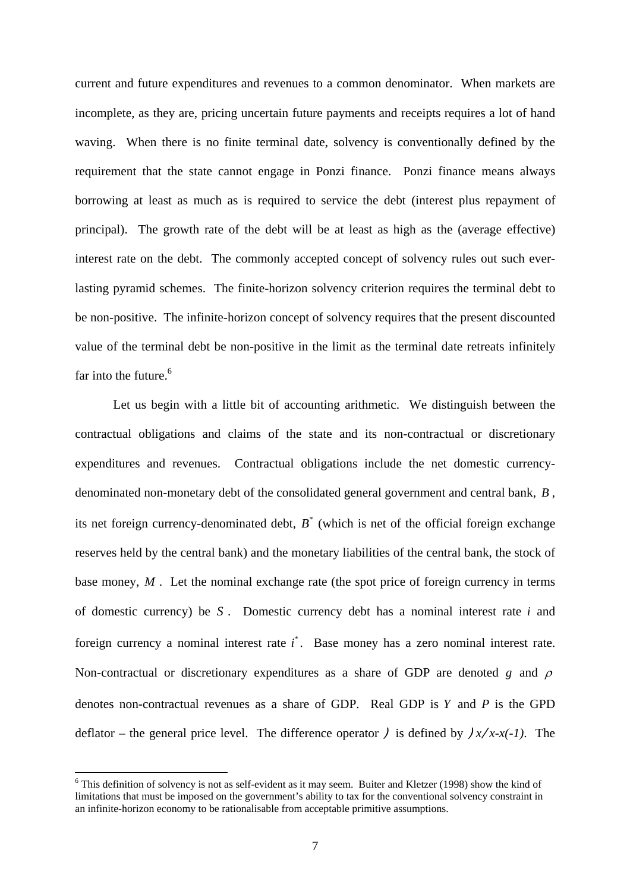current and future expenditures and revenues to a common denominator. When markets are incomplete, as they are, pricing uncertain future payments and receipts requires a lot of hand waving. When there is no finite terminal date, solvency is conventionally defined by the requirement that the state cannot engage in Ponzi finance. Ponzi finance means always borrowing at least as much as is required to service the debt (interest plus repayment of principal). The growth rate of the debt will be at least as high as the (average effective) interest rate on the debt. The commonly accepted concept of solvency rules out such everlasting pyramid schemes. The finite-horizon solvency criterion requires the terminal debt to be non-positive. The infinite-horizon concept of solvency requires that the present discounted value of the terminal debt be non-positive in the limit as the terminal date retreats infinitely far into the future.<sup>6</sup>

Let us begin with a little bit of accounting arithmetic. We distinguish between the contractual obligations and claims of the state and its non-contractual or discretionary expenditures and revenues. Contractual obligations include the net domestic currencydenominated non-monetary debt of the consolidated general government and central bank, *B* , its net foreign currency-denominated debt,  $B^*$  (which is net of the official foreign exchange reserves held by the central bank) and the monetary liabilities of the central bank, the stock of base money, *M* . Let the nominal exchange rate (the spot price of foreign currency in terms of domestic currency) be *S* . Domestic currency debt has a nominal interest rate *i* and foreign currency a nominal interest rate  $i^*$ . Base money has a zero nominal interest rate. Non-contractual or discretionary expenditures as a share of GDP are denoted *g* and ρ denotes non-contractual revenues as a share of GDP. Real GDP is *Y* and *P* is the GPD deflator – the general price level. The difference operator  $\int$  is defined by  $\int x/x-x(-1)$ . The

 $\overline{a}$ 

<span id="page-7-0"></span> $6$  This definition of solvency is not as self-evident as it may seem. Buiter and Kletzer (1998) show the kind of limitations that must be imposed on the government's ability to tax for the conventional solvency constraint in an infinite-horizon economy to be rationalisable from acceptable primitive assumptions.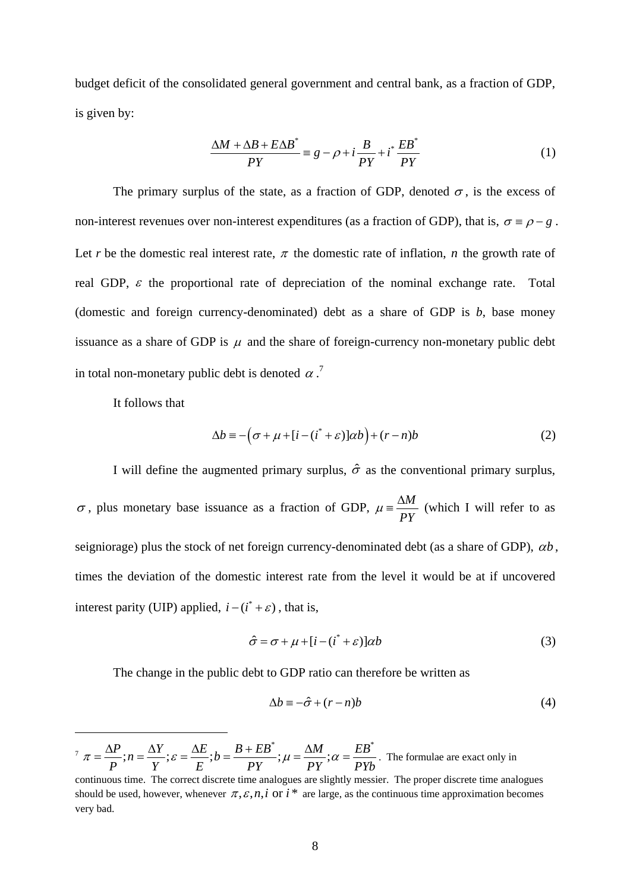budget deficit of the consolidated general government and central bank, as a fraction of GDP, is given by:

$$
\frac{\Delta M + \Delta B + E \Delta B^*}{PY} \equiv g - \rho + i \frac{B}{PY} + i^* \frac{EB^*}{PY}
$$
(1)

The primary surplus of the state, as a fraction of GDP, denoted  $\sigma$ , is the excess of non-interest revenues over non-interest expenditures (as a fraction of GDP), that is,  $\sigma = \rho - g$ . Let *r* be the domestic real interest rate,  $\pi$  the domestic rate of inflation, *n* the growth rate of real GDP,  $\varepsilon$  the proportional rate of depreciation of the nominal exchange rate. Total (domestic and foreign currency-denominated) debt as a share of GDP is *b*, base money issuance as a share of GDP is  $\mu$  and the share of foreign-currency non-monetary public debt in total non-monetary public debt is denoted  $\alpha$ .<sup>[7](#page-8-0)</sup>

It follows that

 $\overline{a}$ 

$$
\Delta b = -(\sigma + \mu + [i - (i^* + \varepsilon)]\alpha b) + (r - n)b
$$
\n(2)

I will define the augmented primary surplus,  $\hat{\sigma}$  as the conventional primary surplus,  $\sigma$ , plus monetary base issuance as a fraction of GDP,  $\mu = \frac{\Delta M}{\Delta V}$  $\mu \equiv \frac{P}{P}$  $\equiv \frac{\Delta M}{\Delta}$  (which I will refer to as seigniorage) plus the stock of net foreign currency-denominated debt (as a share of GDP),  $\alpha b$ , times the deviation of the domestic interest rate from the level it would be at if uncovered interest parity (UIP) applied,  $i - (i^* + \varepsilon)$ , that is,

$$
\hat{\sigma} = \sigma + \mu + [i - (i^* + \varepsilon)]\alpha b \tag{3}
$$

The change in the public debt to GDP ratio can therefore be written as

<span id="page-8-2"></span><span id="page-8-1"></span>
$$
\Delta b \equiv -\hat{\sigma} + (r - n)b \tag{4}
$$

<span id="page-8-0"></span><sup>7</sup> \*  $\Lambda M$   $\mathbf{D}^*$  $\frac{P}{P}$ ;  $n = \frac{\Delta Y}{P}$ ;  $\varepsilon = \frac{\Delta E}{P}$ ;  $b = \frac{B + EB^*}{P}$ ;  $\mu = \frac{\Delta M}{P}$ ;  $\alpha = \frac{E}{P}$  $\pi = \frac{\Delta P}{P}$ ;  $n = \frac{\Delta Y}{Y}$ ;  $\varepsilon = \frac{\Delta E}{E}$ ;  $b = \frac{B + EB^*}{PY}$ ;  $\mu = \frac{\Delta M}{PY}$ ;  $\alpha = \frac{EB}{PY}$  $\frac{1}{Yb}$ . The formulae are exact only in

continuous time. The correct discrete time analogues are slightly messier. The proper discrete time analogues should be used, however, whenever  $\pi$ ,  $\varepsilon$ ,  $n$ , *i* or  $i^*$  are large, as the continuous time approximation becomes very bad.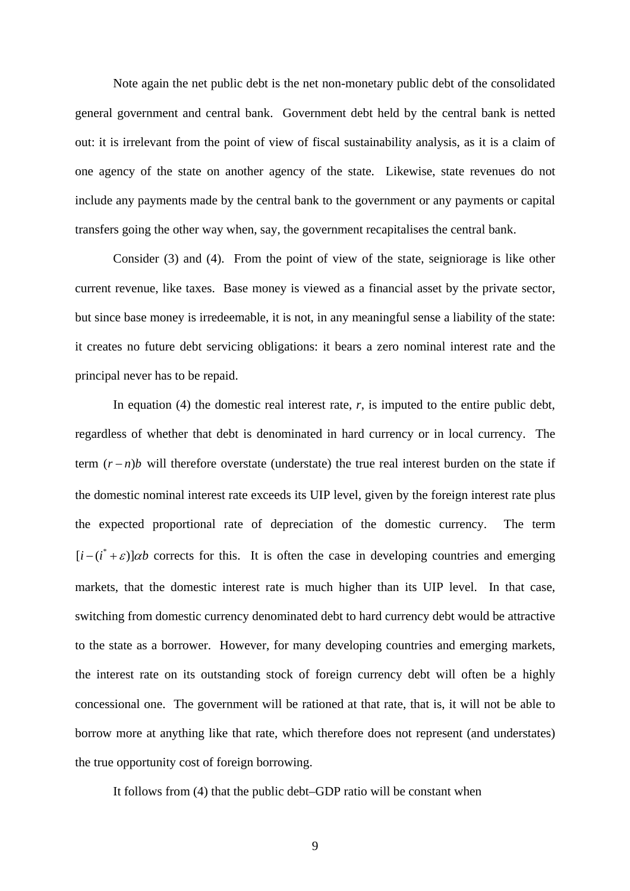Note again the net public debt is the net non-monetary public debt of the consolidated general government and central bank. Government debt held by the central bank is netted out: it is irrelevant from the point of view of fiscal sustainability analysis, as it is a claim of one agency of the state on another agency of the state. Likewise, state revenues do not include any payments made by the central bank to the government or any payments or capital transfers going the other way when, say, the government recapitalises the central bank.

Consider [\(3\)](#page-8-1) and [\(4\).](#page-8-2) From the point of view of the state, seigniorage is like other current revenue, like taxes. Base money is viewed as a financial asset by the private sector, but since base money is irredeemable, it is not, in any meaningful sense a liability of the state: it creates no future debt servicing obligations: it bears a zero nominal interest rate and the principal never has to be repaid.

In equation [\(4\)](#page-8-2) the domestic real interest rate, *r*, is imputed to the entire public debt, regardless of whether that debt is denominated in hard currency or in local currency. The term  $(r - n)b$  will therefore overstate (understate) the true real interest burden on the state if the domestic nominal interest rate exceeds its UIP level, given by the foreign interest rate plus the expected proportional rate of depreciation of the domestic currency. The term  $[i - (i^* + \varepsilon)]\alpha b$  corrects for this. It is often the case in developing countries and emerging markets, that the domestic interest rate is much higher than its UIP level. In that case, switching from domestic currency denominated debt to hard currency debt would be attractive to the state as a borrower. However, for many developing countries and emerging markets, the interest rate on its outstanding stock of foreign currency debt will often be a highly concessional one. The government will be rationed at that rate, that is, it will not be able to borrow more at anything like that rate, which therefore does not represent (and understates) the true opportunity cost of foreign borrowing.

It follows from [\(4\)](#page-8-2) that the public debt–GDP ratio will be constant when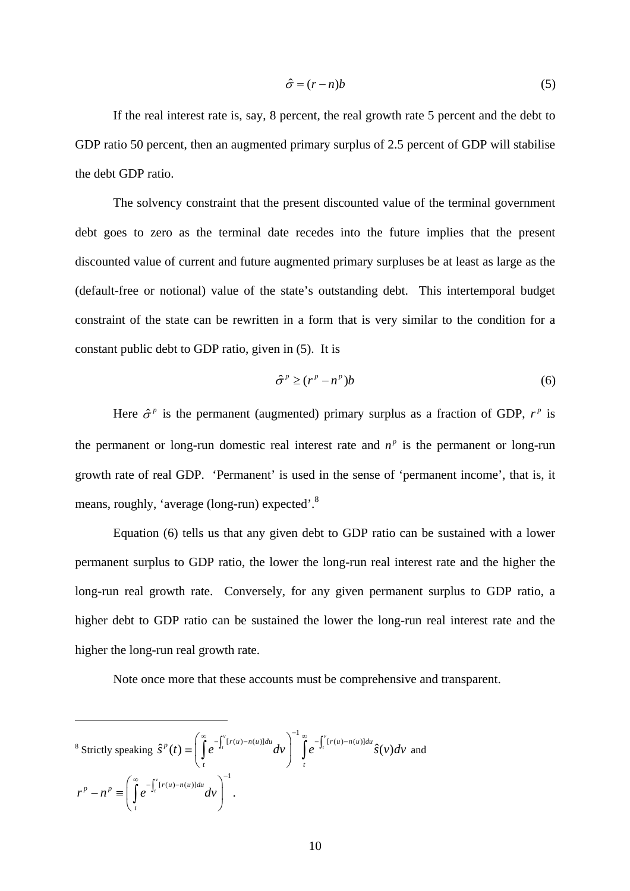<span id="page-10-0"></span>
$$
\hat{\sigma} = (r - n)b\tag{5}
$$

If the real interest rate is, say, 8 percent, the real growth rate 5 percent and the debt to GDP ratio 50 percent, then an augmented primary surplus of 2.5 percent of GDP will stabilise the debt GDP ratio.

The solvency constraint that the present discounted value of the terminal government debt goes to zero as the terminal date recedes into the future implies that the present discounted value of current and future augmented primary surpluses be at least as large as the (default-free or notional) value of the state's outstanding debt. This intertemporal budget constraint of the state can be rewritten in a form that is very similar to the condition for a constant public debt to GDP ratio, given in [\(5\).](#page-10-0) It is

<span id="page-10-1"></span>
$$
\hat{\sigma}^p \ge (r^p - n^p)b \tag{6}
$$

Here  $\hat{\sigma}^p$  is the permanent (augmented) primary surplus as a fraction of GDP,  $r^p$  is the permanent or long-run domestic real interest rate and  $n<sup>p</sup>$  is the permanent or long-run growth rate of real GDP. 'Permanent' is used in the sense of 'permanent income', that is, it means,roughly, 'average (long-run) expected'.<sup>8</sup>

Equation [\(6\)](#page-10-1) tells us that any given debt to GDP ratio can be sustained with a lower permanent surplus to GDP ratio, the lower the long-run real interest rate and the higher the long-run real growth rate. Conversely, for any given permanent surplus to GDP ratio, a higher debt to GDP ratio can be sustained the lower the long-run real interest rate and the higher the long-run real growth rate.

Note once more that these accounts must be comprehensive and transparent.

<span id="page-10-2"></span>
$$
{}^{8}\text{ Strictly speaking } \hat{s}^{p}(t) \equiv \left(\int_{t}^{\infty} e^{-\int_{t}^{v}[r(u)-n(u)]du} dv\right)^{-1} \int_{t}^{\infty} e^{-\int_{t}^{v}[r(u)-n(u)]du} \hat{s}(v) dv \text{ and}
$$
\n
$$
r^{p} - n^{p} \equiv \left(\int_{t}^{\infty} e^{-\int_{t}^{v}[r(u)-n(u)]du} dv\right)^{-1}.
$$

 $\overline{a}$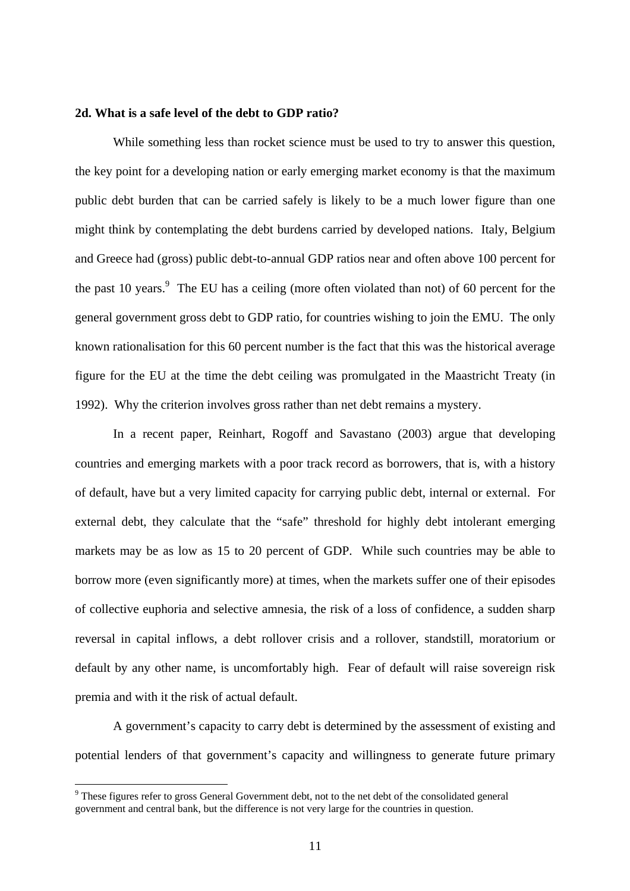## **2d. What is a safe level of the debt to GDP ratio?**

While something less than rocket science must be used to try to answer this question, the key point for a developing nation or early emerging market economy is that the maximum public debt burden that can be carried safely is likely to be a much lower figure than one might think by contemplating the debt burdens carried by developed nations. Italy, Belgium and Greece had (gross) public debt-to-annual GDP ratios near and often above 100 percent for the past 10 years. $\degree$  The EU has a ceiling (more often violated than not) of 60 percent for the general government gross debt to GDP ratio, for countries wishing to join the EMU. The only known rationalisation for this 60 percent number is the fact that this was the historical average figure for the EU at the time the debt ceiling was promulgated in the Maastricht Treaty (in 1992). Why the criterion involves gross rather than net debt remains a mystery.

In a recent paper, Reinhart, Rogoff and Savastano (2003) argue that developing countries and emerging markets with a poor track record as borrowers, that is, with a history of default, have but a very limited capacity for carrying public debt, internal or external. For external debt, they calculate that the "safe" threshold for highly debt intolerant emerging markets may be as low as 15 to 20 percent of GDP. While such countries may be able to borrow more (even significantly more) at times, when the markets suffer one of their episodes of collective euphoria and selective amnesia, the risk of a loss of confidence, a sudden sharp reversal in capital inflows, a debt rollover crisis and a rollover, standstill, moratorium or default by any other name, is uncomfortably high. Fear of default will raise sovereign risk premia and with it the risk of actual default.

A government's capacity to carry debt is determined by the assessment of existing and potential lenders of that government's capacity and willingness to generate future primary

<span id="page-11-0"></span><sup>-&</sup>lt;br>9 <sup>9</sup> These figures refer to gross General Government debt, not to the net debt of the consolidated general government and central bank, but the difference is not very large for the countries in question.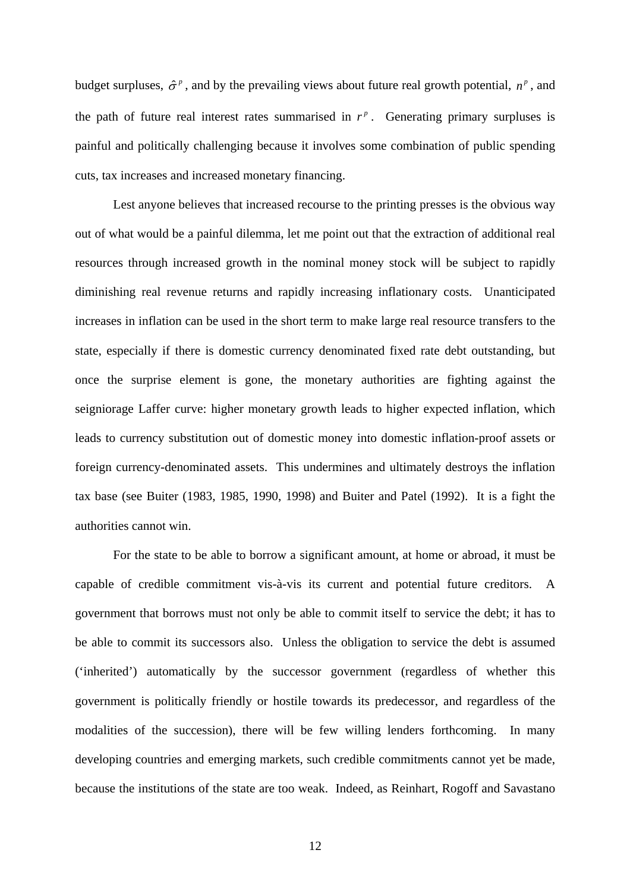budget surpluses,  $\hat{\sigma}^p$ , and by the prevailing views about future real growth potential,  $n^p$ , and the path of future real interest rates summarised in  $r^p$ . Generating primary surpluses is painful and politically challenging because it involves some combination of public spending cuts, tax increases and increased monetary financing.

Lest anyone believes that increased recourse to the printing presses is the obvious way out of what would be a painful dilemma, let me point out that the extraction of additional real resources through increased growth in the nominal money stock will be subject to rapidly diminishing real revenue returns and rapidly increasing inflationary costs. Unanticipated increases in inflation can be used in the short term to make large real resource transfers to the state, especially if there is domestic currency denominated fixed rate debt outstanding, but once the surprise element is gone, the monetary authorities are fighting against the seigniorage Laffer curve: higher monetary growth leads to higher expected inflation, which leads to currency substitution out of domestic money into domestic inflation-proof assets or foreign currency-denominated assets. This undermines and ultimately destroys the inflation tax base (see Buiter (1983, 1985, 1990, 1998) and Buiter and Patel (1992). It is a fight the authorities cannot win.

For the state to be able to borrow a significant amount, at home or abroad, it must be capable of credible commitment vis-à-vis its current and potential future creditors. A government that borrows must not only be able to commit itself to service the debt; it has to be able to commit its successors also. Unless the obligation to service the debt is assumed ('inherited') automatically by the successor government (regardless of whether this government is politically friendly or hostile towards its predecessor, and regardless of the modalities of the succession), there will be few willing lenders forthcoming. In many developing countries and emerging markets, such credible commitments cannot yet be made, because the institutions of the state are too weak. Indeed, as Reinhart, Rogoff and Savastano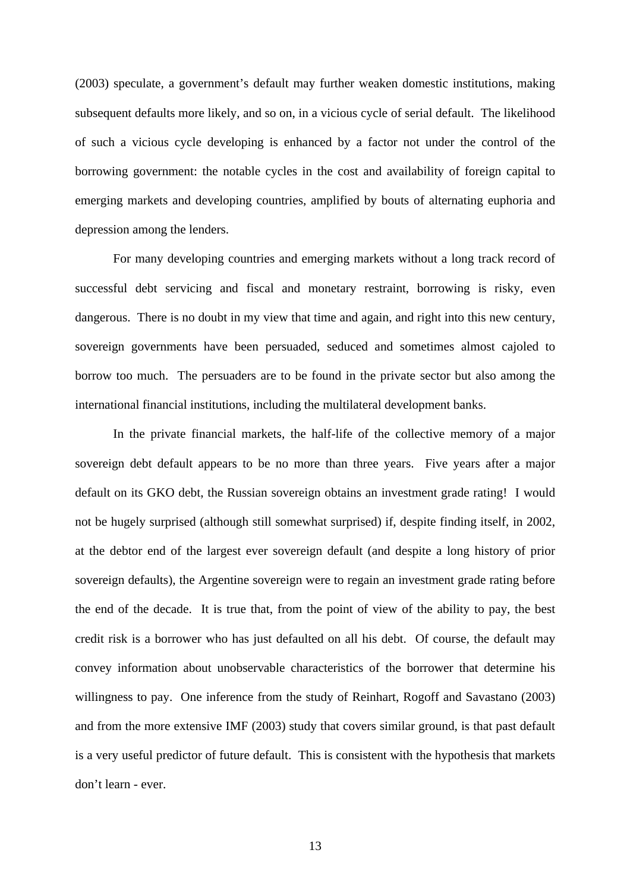(2003) speculate, a government's default may further weaken domestic institutions, making subsequent defaults more likely, and so on, in a vicious cycle of serial default. The likelihood of such a vicious cycle developing is enhanced by a factor not under the control of the borrowing government: the notable cycles in the cost and availability of foreign capital to emerging markets and developing countries, amplified by bouts of alternating euphoria and depression among the lenders.

For many developing countries and emerging markets without a long track record of successful debt servicing and fiscal and monetary restraint, borrowing is risky, even dangerous. There is no doubt in my view that time and again, and right into this new century, sovereign governments have been persuaded, seduced and sometimes almost cajoled to borrow too much. The persuaders are to be found in the private sector but also among the international financial institutions, including the multilateral development banks.

In the private financial markets, the half-life of the collective memory of a major sovereign debt default appears to be no more than three years. Five years after a major default on its GKO debt, the Russian sovereign obtains an investment grade rating! I would not be hugely surprised (although still somewhat surprised) if, despite finding itself, in 2002, at the debtor end of the largest ever sovereign default (and despite a long history of prior sovereign defaults), the Argentine sovereign were to regain an investment grade rating before the end of the decade. It is true that, from the point of view of the ability to pay, the best credit risk is a borrower who has just defaulted on all his debt. Of course, the default may convey information about unobservable characteristics of the borrower that determine his willingness to pay. One inference from the study of Reinhart, Rogoff and Savastano (2003) and from the more extensive IMF (2003) study that covers similar ground, is that past default is a very useful predictor of future default. This is consistent with the hypothesis that markets don't learn - ever.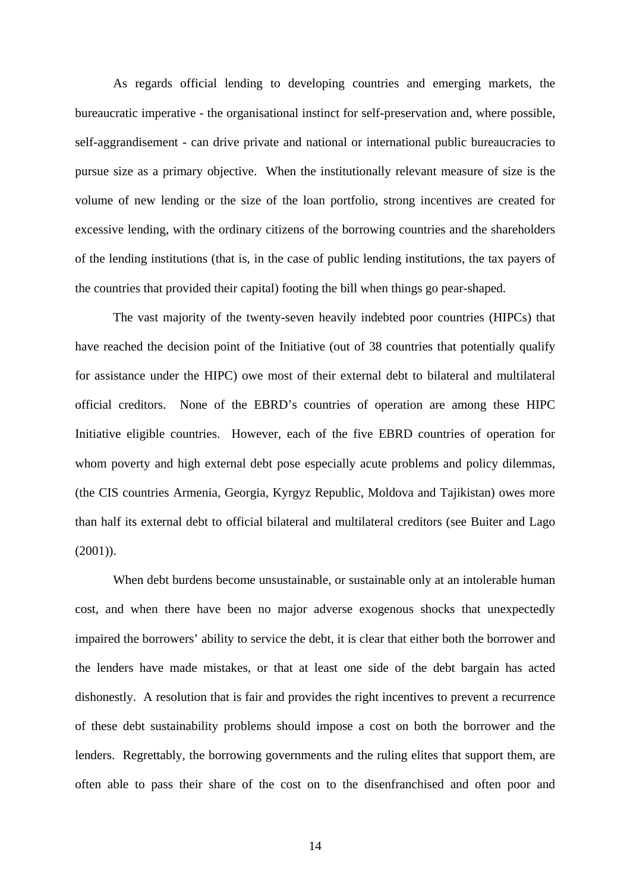As regards official lending to developing countries and emerging markets, the bureaucratic imperative - the organisational instinct for self-preservation and, where possible, self-aggrandisement - can drive private and national or international public bureaucracies to pursue size as a primary objective. When the institutionally relevant measure of size is the volume of new lending or the size of the loan portfolio, strong incentives are created for excessive lending, with the ordinary citizens of the borrowing countries and the shareholders of the lending institutions (that is, in the case of public lending institutions, the tax payers of the countries that provided their capital) footing the bill when things go pear-shaped.

The vast majority of the twenty-seven heavily indebted poor countries (HIPCs) that have reached the decision point of the Initiative (out of 38 countries that potentially qualify for assistance under the HIPC) owe most of their external debt to bilateral and multilateral official creditors. None of the EBRD's countries of operation are among these HIPC Initiative eligible countries. However, each of the five EBRD countries of operation for whom poverty and high external debt pose especially acute problems and policy dilemmas, (the CIS countries Armenia, Georgia, Kyrgyz Republic, Moldova and Tajikistan) owes more than half its external debt to official bilateral and multilateral creditors (see Buiter and Lago  $(2001)$ ).

When debt burdens become unsustainable, or sustainable only at an intolerable human cost, and when there have been no major adverse exogenous shocks that unexpectedly impaired the borrowers' ability to service the debt, it is clear that either both the borrower and the lenders have made mistakes, or that at least one side of the debt bargain has acted dishonestly. A resolution that is fair and provides the right incentives to prevent a recurrence of these debt sustainability problems should impose a cost on both the borrower and the lenders. Regrettably, the borrowing governments and the ruling elites that support them, are often able to pass their share of the cost on to the disenfranchised and often poor and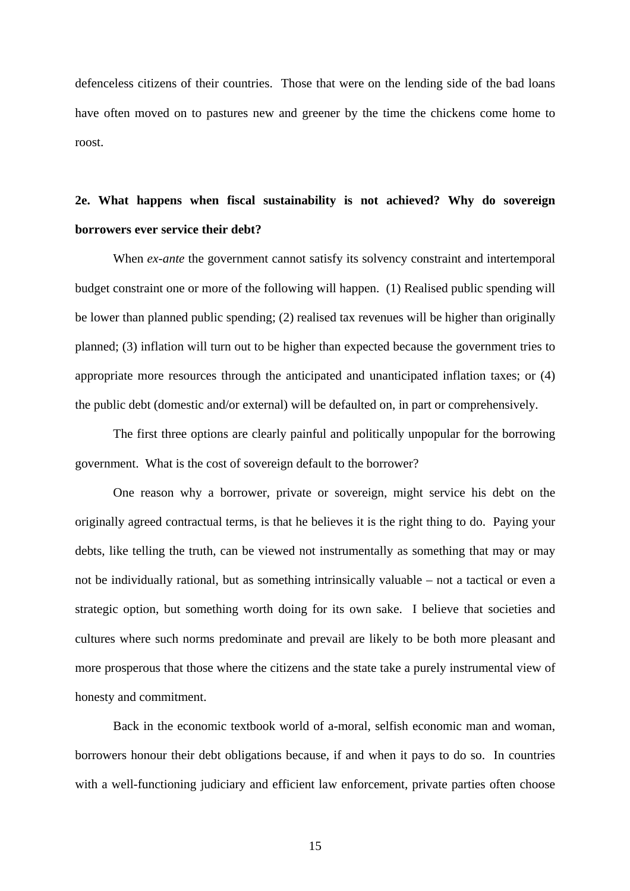defenceless citizens of their countries. Those that were on the lending side of the bad loans have often moved on to pastures new and greener by the time the chickens come home to roost.

# **2e. What happens when fiscal sustainability is not achieved? Why do sovereign borrowers ever service their debt?**

 When *ex-ante* the government cannot satisfy its solvency constraint and intertemporal budget constraint one or more of the following will happen. (1) Realised public spending will be lower than planned public spending; (2) realised tax revenues will be higher than originally planned; (3) inflation will turn out to be higher than expected because the government tries to appropriate more resources through the anticipated and unanticipated inflation taxes; or (4) the public debt (domestic and/or external) will be defaulted on, in part or comprehensively.

The first three options are clearly painful and politically unpopular for the borrowing government. What is the cost of sovereign default to the borrower?

One reason why a borrower, private or sovereign, might service his debt on the originally agreed contractual terms, is that he believes it is the right thing to do. Paying your debts, like telling the truth, can be viewed not instrumentally as something that may or may not be individually rational, but as something intrinsically valuable – not a tactical or even a strategic option, but something worth doing for its own sake. I believe that societies and cultures where such norms predominate and prevail are likely to be both more pleasant and more prosperous that those where the citizens and the state take a purely instrumental view of honesty and commitment.

Back in the economic textbook world of a-moral, selfish economic man and woman, borrowers honour their debt obligations because, if and when it pays to do so. In countries with a well-functioning judiciary and efficient law enforcement, private parties often choose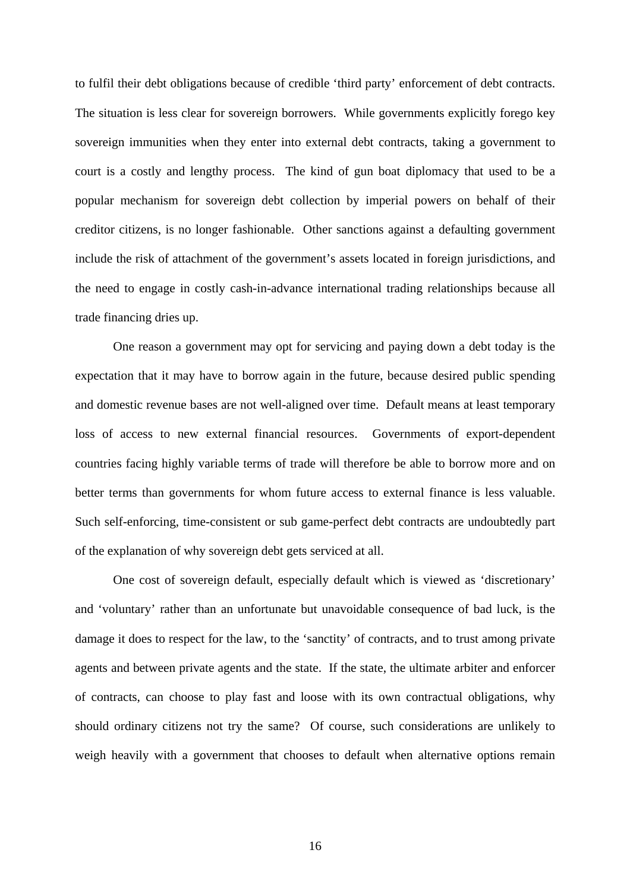to fulfil their debt obligations because of credible 'third party' enforcement of debt contracts. The situation is less clear for sovereign borrowers. While governments explicitly forego key sovereign immunities when they enter into external debt contracts, taking a government to court is a costly and lengthy process. The kind of gun boat diplomacy that used to be a popular mechanism for sovereign debt collection by imperial powers on behalf of their creditor citizens, is no longer fashionable. Other sanctions against a defaulting government include the risk of attachment of the government's assets located in foreign jurisdictions, and the need to engage in costly cash-in-advance international trading relationships because all trade financing dries up.

One reason a government may opt for servicing and paying down a debt today is the expectation that it may have to borrow again in the future, because desired public spending and domestic revenue bases are not well-aligned over time. Default means at least temporary loss of access to new external financial resources. Governments of export-dependent countries facing highly variable terms of trade will therefore be able to borrow more and on better terms than governments for whom future access to external finance is less valuable. Such self-enforcing, time-consistent or sub game-perfect debt contracts are undoubtedly part of the explanation of why sovereign debt gets serviced at all.

One cost of sovereign default, especially default which is viewed as 'discretionary' and 'voluntary' rather than an unfortunate but unavoidable consequence of bad luck, is the damage it does to respect for the law, to the 'sanctity' of contracts, and to trust among private agents and between private agents and the state. If the state, the ultimate arbiter and enforcer of contracts, can choose to play fast and loose with its own contractual obligations, why should ordinary citizens not try the same? Of course, such considerations are unlikely to weigh heavily with a government that chooses to default when alternative options remain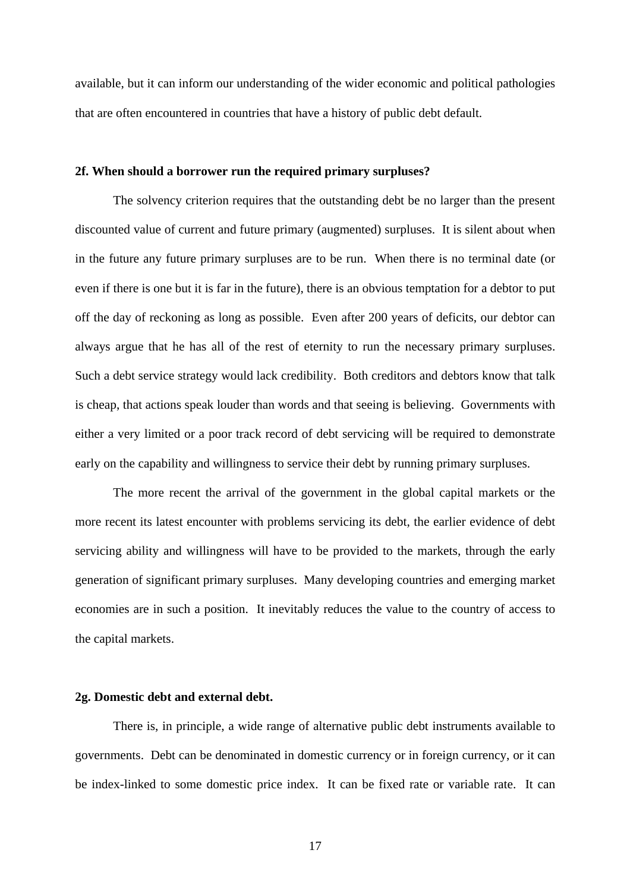available, but it can inform our understanding of the wider economic and political pathologies that are often encountered in countries that have a history of public debt default.

#### **2f. When should a borrower run the required primary surpluses?**

The solvency criterion requires that the outstanding debt be no larger than the present discounted value of current and future primary (augmented) surpluses. It is silent about when in the future any future primary surpluses are to be run. When there is no terminal date (or even if there is one but it is far in the future), there is an obvious temptation for a debtor to put off the day of reckoning as long as possible. Even after 200 years of deficits, our debtor can always argue that he has all of the rest of eternity to run the necessary primary surpluses. Such a debt service strategy would lack credibility. Both creditors and debtors know that talk is cheap, that actions speak louder than words and that seeing is believing. Governments with either a very limited or a poor track record of debt servicing will be required to demonstrate early on the capability and willingness to service their debt by running primary surpluses.

The more recent the arrival of the government in the global capital markets or the more recent its latest encounter with problems servicing its debt, the earlier evidence of debt servicing ability and willingness will have to be provided to the markets, through the early generation of significant primary surpluses. Many developing countries and emerging market economies are in such a position. It inevitably reduces the value to the country of access to the capital markets.

## **2g. Domestic debt and external debt.**

There is, in principle, a wide range of alternative public debt instruments available to governments. Debt can be denominated in domestic currency or in foreign currency, or it can be index-linked to some domestic price index. It can be fixed rate or variable rate. It can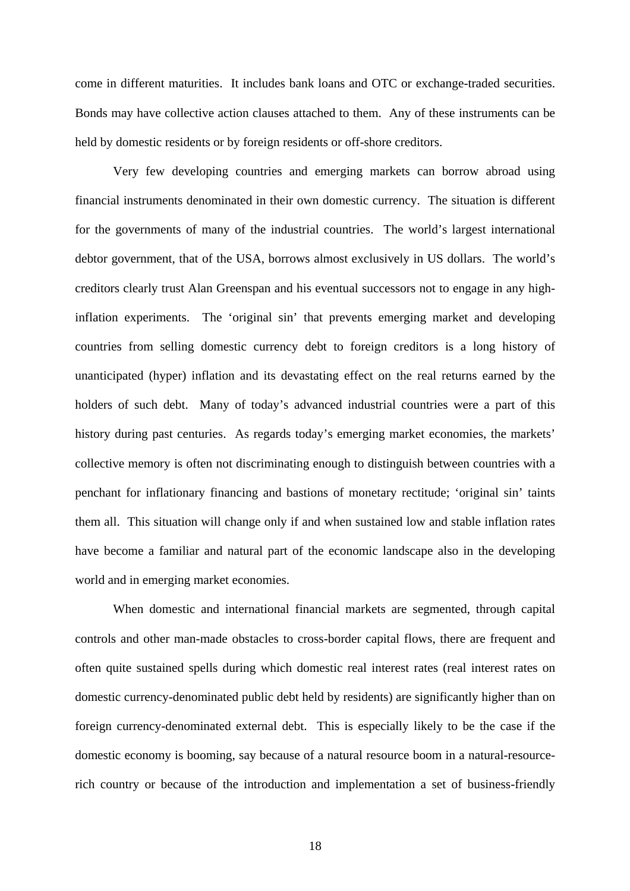come in different maturities. It includes bank loans and OTC or exchange-traded securities. Bonds may have collective action clauses attached to them. Any of these instruments can be held by domestic residents or by foreign residents or off-shore creditors.

Very few developing countries and emerging markets can borrow abroad using financial instruments denominated in their own domestic currency. The situation is different for the governments of many of the industrial countries. The world's largest international debtor government, that of the USA, borrows almost exclusively in US dollars. The world's creditors clearly trust Alan Greenspan and his eventual successors not to engage in any highinflation experiments. The 'original sin' that prevents emerging market and developing countries from selling domestic currency debt to foreign creditors is a long history of unanticipated (hyper) inflation and its devastating effect on the real returns earned by the holders of such debt. Many of today's advanced industrial countries were a part of this history during past centuries. As regards today's emerging market economies, the markets' collective memory is often not discriminating enough to distinguish between countries with a penchant for inflationary financing and bastions of monetary rectitude; 'original sin' taints them all. This situation will change only if and when sustained low and stable inflation rates have become a familiar and natural part of the economic landscape also in the developing world and in emerging market economies.

When domestic and international financial markets are segmented, through capital controls and other man-made obstacles to cross-border capital flows, there are frequent and often quite sustained spells during which domestic real interest rates (real interest rates on domestic currency-denominated public debt held by residents) are significantly higher than on foreign currency-denominated external debt. This is especially likely to be the case if the domestic economy is booming, say because of a natural resource boom in a natural-resourcerich country or because of the introduction and implementation a set of business-friendly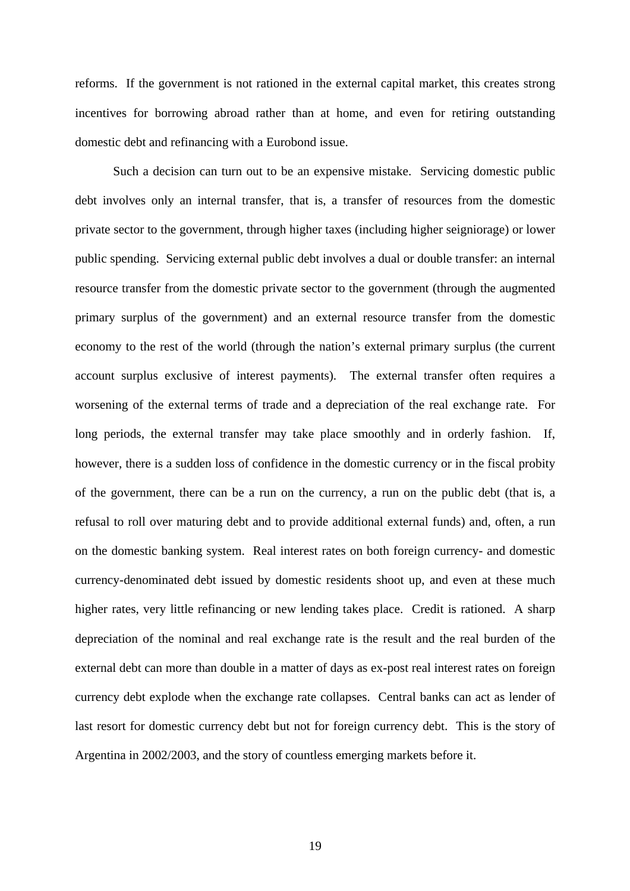reforms. If the government is not rationed in the external capital market, this creates strong incentives for borrowing abroad rather than at home, and even for retiring outstanding domestic debt and refinancing with a Eurobond issue.

Such a decision can turn out to be an expensive mistake. Servicing domestic public debt involves only an internal transfer, that is, a transfer of resources from the domestic private sector to the government, through higher taxes (including higher seigniorage) or lower public spending. Servicing external public debt involves a dual or double transfer: an internal resource transfer from the domestic private sector to the government (through the augmented primary surplus of the government) and an external resource transfer from the domestic economy to the rest of the world (through the nation's external primary surplus (the current account surplus exclusive of interest payments). The external transfer often requires a worsening of the external terms of trade and a depreciation of the real exchange rate. For long periods, the external transfer may take place smoothly and in orderly fashion. If, however, there is a sudden loss of confidence in the domestic currency or in the fiscal probity of the government, there can be a run on the currency, a run on the public debt (that is, a refusal to roll over maturing debt and to provide additional external funds) and, often, a run on the domestic banking system. Real interest rates on both foreign currency- and domestic currency-denominated debt issued by domestic residents shoot up, and even at these much higher rates, very little refinancing or new lending takes place. Credit is rationed. A sharp depreciation of the nominal and real exchange rate is the result and the real burden of the external debt can more than double in a matter of days as ex-post real interest rates on foreign currency debt explode when the exchange rate collapses. Central banks can act as lender of last resort for domestic currency debt but not for foreign currency debt. This is the story of Argentina in 2002/2003, and the story of countless emerging markets before it.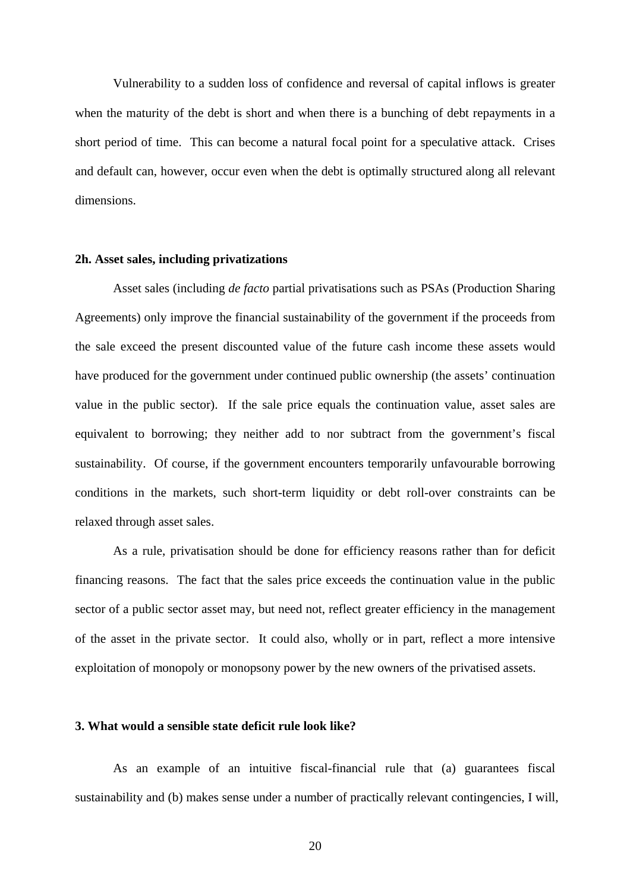Vulnerability to a sudden loss of confidence and reversal of capital inflows is greater when the maturity of the debt is short and when there is a bunching of debt repayments in a short period of time. This can become a natural focal point for a speculative attack. Crises and default can, however, occur even when the debt is optimally structured along all relevant dimensions.

#### **2h. Asset sales, including privatizations**

 Asset sales (including *de facto* partial privatisations such as PSAs (Production Sharing Agreements) only improve the financial sustainability of the government if the proceeds from the sale exceed the present discounted value of the future cash income these assets would have produced for the government under continued public ownership (the assets' continuation value in the public sector). If the sale price equals the continuation value, asset sales are equivalent to borrowing; they neither add to nor subtract from the government's fiscal sustainability. Of course, if the government encounters temporarily unfavourable borrowing conditions in the markets, such short-term liquidity or debt roll-over constraints can be relaxed through asset sales.

As a rule, privatisation should be done for efficiency reasons rather than for deficit financing reasons. The fact that the sales price exceeds the continuation value in the public sector of a public sector asset may, but need not, reflect greater efficiency in the management of the asset in the private sector. It could also, wholly or in part, reflect a more intensive exploitation of monopoly or monopsony power by the new owners of the privatised assets.

## **3. What would a sensible state deficit rule look like?**

As an example of an intuitive fiscal-financial rule that (a) guarantees fiscal sustainability and (b) makes sense under a number of practically relevant contingencies, I will,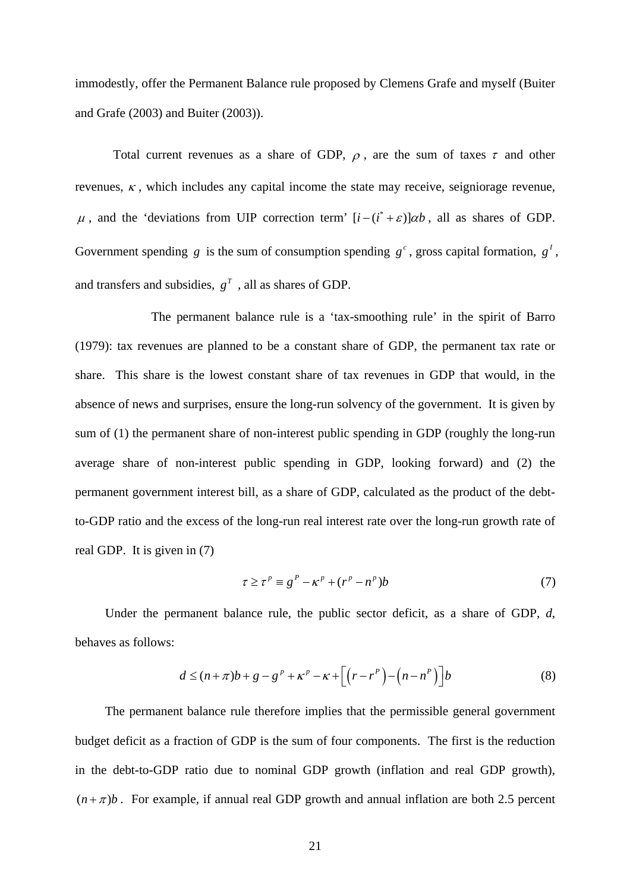immodestly, offer the Permanent Balance rule proposed by Clemens Grafe and myself (Buiter and Grafe (2003) and Buiter (2003)).

Total current revenues as a share of GDP,  $\rho$ , are the sum of taxes  $\tau$  and other revenues,  $\kappa$ , which includes any capital income the state may receive, seigniorage revenue,  $\mu$ , and the 'deviations from UIP correction term'  $[i - (i^* + \varepsilon)]\alpha b$ , all as shares of GDP. Government spending g is the sum of consumption spending  $g^c$ , gross capital formation,  $g^I$ , and transfers and subsidies,  $g<sup>T</sup>$ , all as shares of GDP.

The permanent balance rule is a 'tax-smoothing rule' in the spirit of Barro (1979): tax revenues are planned to be a constant share of GDP, the permanent tax rate or share. This share is the lowest constant share of tax revenues in GDP that would, in the absence of news and surprises, ensure the long-run solvency of the government. It is given by sum of (1) the permanent share of non-interest public spending in GDP (roughly the long-run average share of non-interest public spending in GDP, looking forward) and (2) the permanent government interest bill, as a share of GDP, calculated as the product of the debtto-GDP ratio and the excess of the long-run real interest rate over the long-run growth rate of real GDP. It is given in [\(7\)](#page-21-0) 

$$
\tau \geq \tau^p \equiv g^P - \kappa^p + (r^p - n^p)b \tag{7}
$$

Under the permanent balance rule, the public sector deficit, as a share of GDP, *d*, behaves as follows:

<span id="page-21-0"></span>
$$
d \leq (n+\pi)b + g - gp + \kappap - \kappa + \left[ \left( r - rp \right) - \left( n - np \right) \right] b \tag{8}
$$

The permanent balance rule therefore implies that the permissible general government budget deficit as a fraction of GDP is the sum of four components. The first is the reduction in the debt-to-GDP ratio due to nominal GDP growth (inflation and real GDP growth),  $(n+\pi)b$ . For example, if annual real GDP growth and annual inflation are both 2.5 percent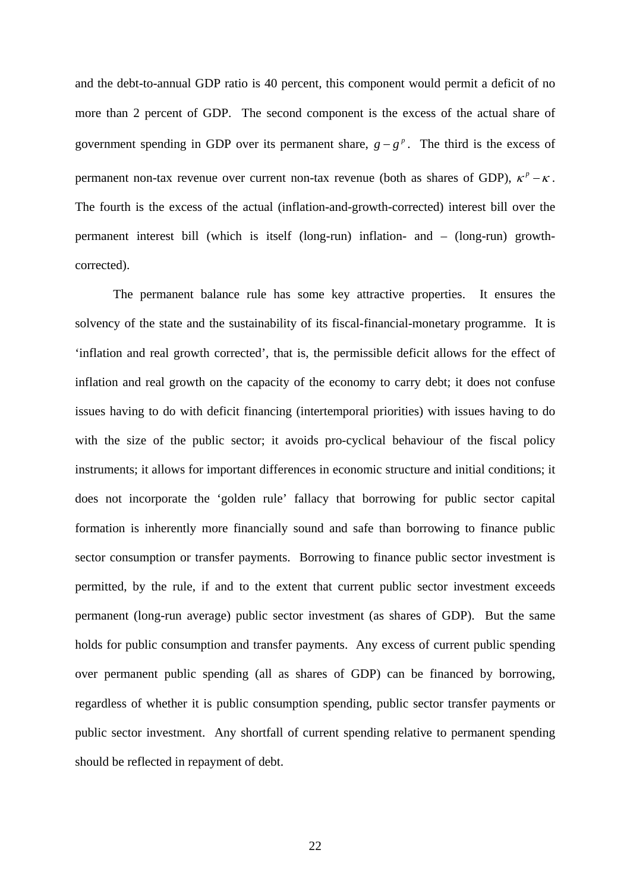and the debt-to-annual GDP ratio is 40 percent, this component would permit a deficit of no more than 2 percent of GDP. The second component is the excess of the actual share of government spending in GDP over its permanent share,  $g - g^p$ . The third is the excess of permanent non-tax revenue over current non-tax revenue (both as shares of GDP),  $\kappa^p - \kappa$ . The fourth is the excess of the actual (inflation-and-growth-corrected) interest bill over the permanent interest bill (which is itself (long-run) inflation- and – (long-run) growthcorrected).

The permanent balance rule has some key attractive properties. It ensures the solvency of the state and the sustainability of its fiscal-financial-monetary programme. It is 'inflation and real growth corrected', that is, the permissible deficit allows for the effect of inflation and real growth on the capacity of the economy to carry debt; it does not confuse issues having to do with deficit financing (intertemporal priorities) with issues having to do with the size of the public sector; it avoids pro-cyclical behaviour of the fiscal policy instruments; it allows for important differences in economic structure and initial conditions; it does not incorporate the 'golden rule' fallacy that borrowing for public sector capital formation is inherently more financially sound and safe than borrowing to finance public sector consumption or transfer payments. Borrowing to finance public sector investment is permitted, by the rule, if and to the extent that current public sector investment exceeds permanent (long-run average) public sector investment (as shares of GDP). But the same holds for public consumption and transfer payments. Any excess of current public spending over permanent public spending (all as shares of GDP) can be financed by borrowing, regardless of whether it is public consumption spending, public sector transfer payments or public sector investment. Any shortfall of current spending relative to permanent spending should be reflected in repayment of debt.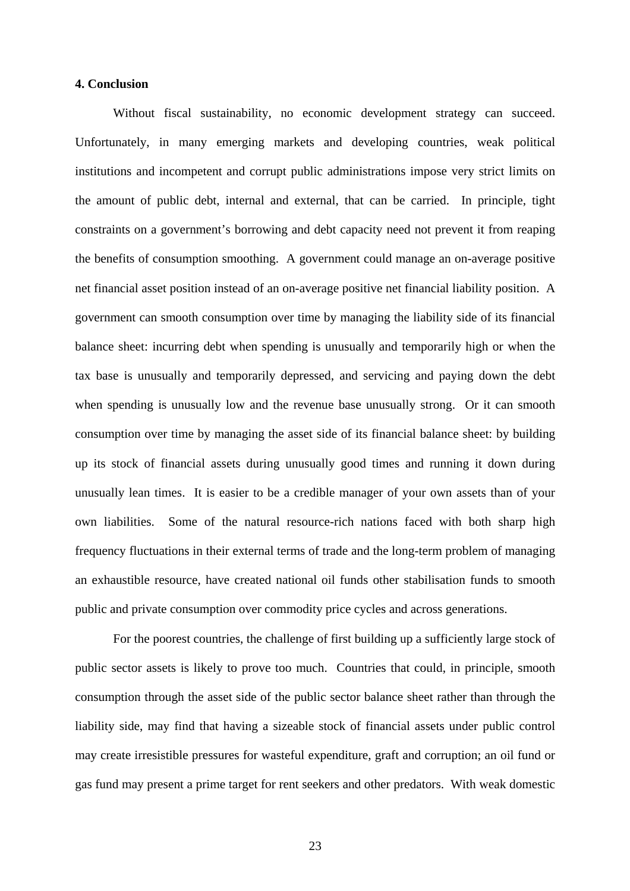#### **4. Conclusion**

Without fiscal sustainability, no economic development strategy can succeed. Unfortunately, in many emerging markets and developing countries, weak political institutions and incompetent and corrupt public administrations impose very strict limits on the amount of public debt, internal and external, that can be carried. In principle, tight constraints on a government's borrowing and debt capacity need not prevent it from reaping the benefits of consumption smoothing. A government could manage an on-average positive net financial asset position instead of an on-average positive net financial liability position. A government can smooth consumption over time by managing the liability side of its financial balance sheet: incurring debt when spending is unusually and temporarily high or when the tax base is unusually and temporarily depressed, and servicing and paying down the debt when spending is unusually low and the revenue base unusually strong. Or it can smooth consumption over time by managing the asset side of its financial balance sheet: by building up its stock of financial assets during unusually good times and running it down during unusually lean times. It is easier to be a credible manager of your own assets than of your own liabilities. Some of the natural resource-rich nations faced with both sharp high frequency fluctuations in their external terms of trade and the long-term problem of managing an exhaustible resource, have created national oil funds other stabilisation funds to smooth public and private consumption over commodity price cycles and across generations.

For the poorest countries, the challenge of first building up a sufficiently large stock of public sector assets is likely to prove too much. Countries that could, in principle, smooth consumption through the asset side of the public sector balance sheet rather than through the liability side, may find that having a sizeable stock of financial assets under public control may create irresistible pressures for wasteful expenditure, graft and corruption; an oil fund or gas fund may present a prime target for rent seekers and other predators. With weak domestic

23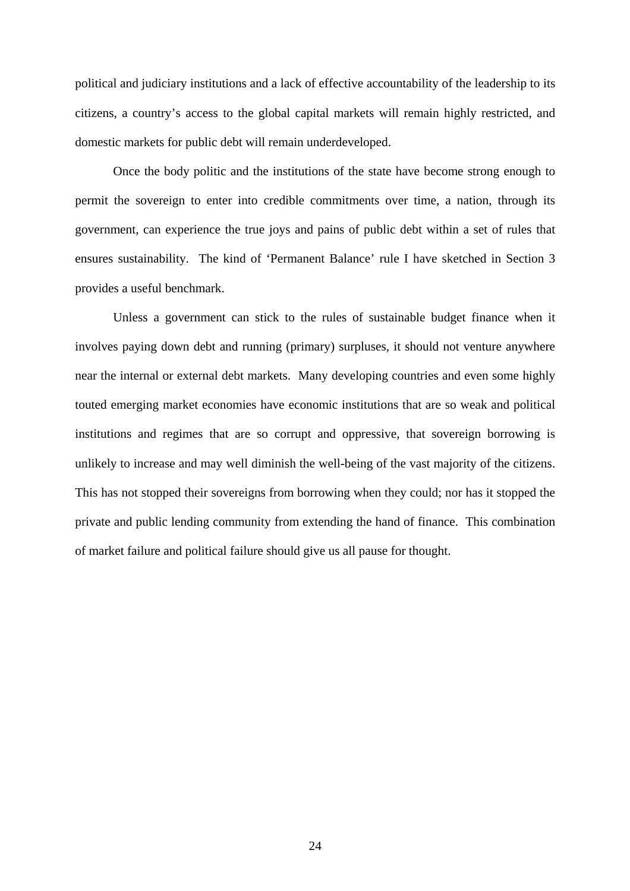political and judiciary institutions and a lack of effective accountability of the leadership to its citizens, a country's access to the global capital markets will remain highly restricted, and domestic markets for public debt will remain underdeveloped.

Once the body politic and the institutions of the state have become strong enough to permit the sovereign to enter into credible commitments over time, a nation, through its government, can experience the true joys and pains of public debt within a set of rules that ensures sustainability. The kind of 'Permanent Balance' rule I have sketched in Section 3 provides a useful benchmark.

Unless a government can stick to the rules of sustainable budget finance when it involves paying down debt and running (primary) surpluses, it should not venture anywhere near the internal or external debt markets. Many developing countries and even some highly touted emerging market economies have economic institutions that are so weak and political institutions and regimes that are so corrupt and oppressive, that sovereign borrowing is unlikely to increase and may well diminish the well-being of the vast majority of the citizens. This has not stopped their sovereigns from borrowing when they could; nor has it stopped the private and public lending community from extending the hand of finance. This combination of market failure and political failure should give us all pause for thought.